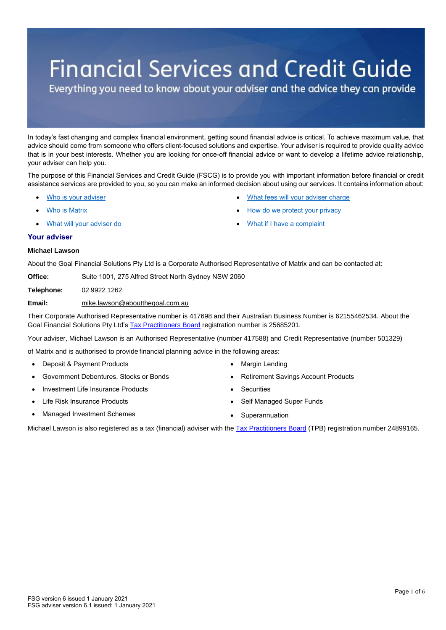# **Financial Services and Credit Guide**

Everything you need to know about your adviser and the advice they can provide

In today's fast changing and complex financial environment, getting sound financial advice is critical. To achieve maximum value, that advice should come from someone who offers client-focused solutions and expertise. Your adviser is required to provide quality advice that is in your best interests. Whether you are looking for once-off financial advice or want to develop a lifetime advice relationship, your adviser can help you.

The purpose of this Financial Services and Credit Guide (FSCG) is to provide you with important information before financial or credit assistance services are provided to you, so you can make an informed decision about using our services. It contains information about:

- Who is your adviser
- [Who](#page-1-0) is Matrix
- [What will your adviser do](#page-1-0)

• [How do we protect your privacy](#page-5-0)

[What fees will your adviser charge](#page-2-0)

[What if I have a complaint](#page-5-1)

# **Your adviser**

# **Michael Lawson**

About the Goal Financial Solutions Pty Ltd is a Corporate Authorised Representative of Matrix and can be contacted at:

**Office:** Suite 1001, 275 Alfred Street North Sydney NSW 2060

**Telephone:** 02 9922 1262

# **Email:** mike.lawson@aboutthegoal.com.au

Their Corporate Authorised Representative number is 417698 and their Australian Business Number is 62155462534. About the Goal Financial Solutions Pty Ltd's [Tax Practitioners Board](https://www.tpb.gov.au/tax-financial-advisers) registration number is 25685201.

Your adviser, Michael Lawson is an Authorised Representative (number 417588) and Credit Representative (number 501329)

of Matrix and is authorised to provide financial planning advice in the following areas:

- Deposit & Payment Products
- Government Debentures, Stocks or Bonds
- Investment Life Insurance Products
- Life Risk Insurance Products
- Managed Investment Schemes
- **Margin Lending**
- Retirement Savings Account Products
- **Securities**
- Self Managed Super Funds
- **Superannuation**

Michael Lawson is also registered as a tax (financial) adviser with the [Tax Practitioners Board](https://www.tpb.gov.au/tax-financial-advisers) (TPB) registration number 24899165.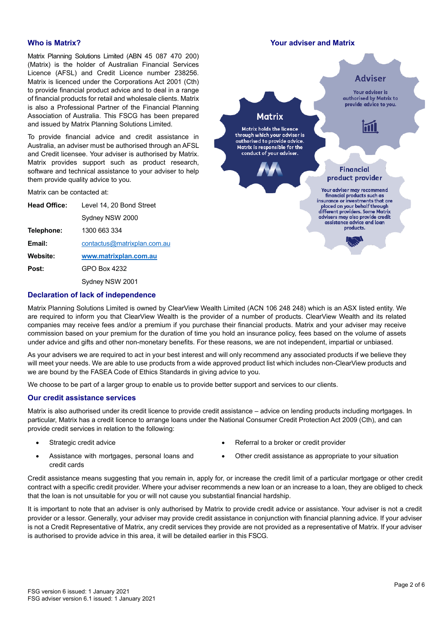Matrix Planning Solutions Limited (ABN 45 087 470 200) (Matrix) is the holder of Australian Financial Services Licence (AFSL) and Credit Licence number 238256. Matrix is licenced under the Corporations Act 2001 (Cth) to provide financial product advice and to deal in a range of financial products for retail and wholesale clients. Matrix is also a Professional Partner of the Financial Planning Association of Australia. This FSCG has been prepared and issued by Matrix Planning Solutions Limited.

To provide financial advice and credit assistance in Australia, an adviser must be authorised through an AFSL and Credit licensee. Your adviser is authorised by Matrix. Matrix provides support such as product research, software and technical assistance to your adviser to help them provide quality advice to you.

Matrix can be contacted at:

| <b>Head Office:</b> | Level 14, 20 Bond Street    |  |  |
|---------------------|-----------------------------|--|--|
|                     | Sydney NSW 2000             |  |  |
| Telephone:          | 1300 663 334                |  |  |
| Email:              | contactus@matrixplan.com.au |  |  |
| Website:            | www.matrixplan.com.au       |  |  |
| Post:               | GPO Box 4232                |  |  |
|                     | Sydney NSW 2001             |  |  |

# **Who is Matrix? Your adviser and Matrix**



# **Declaration of lack of independence**

Matrix Planning Solutions Limited is owned by ClearView Wealth Limited (ACN 106 248 248) which is an ASX listed entity. We are required to inform you that ClearView Wealth is the provider of a number of products. ClearView Wealth and its related companies may receive fees and/or a premium if you purchase their financial products. Matrix and your adviser may receive commission based on your premium for the duration of time you hold an insurance policy, fees based on the volume of assets under advice and gifts and other non-monetary benefits. For these reasons, we are not independent, impartial or unbiased.

As your advisers we are required to act in your best interest and will only recommend any associated products if we believe they will meet your needs. We are able to use products from a wide approved product list which includes non-ClearView products and we are bound by the FASEA Code of Ethics Standards in giving advice to you.

We choose to be part of a larger group to enable us to provide better support and services to our clients.

# **Our credit assistance services**

Matrix is also authorised under its credit licence to provide credit assistance – advice on lending products including mortgages. In particular, Matrix has a credit licence to arrange loans under the National Consumer Credit Protection Act 2009 (Cth), and can provide credit services in relation to the following:

Strategic credit advice

- Referral to a broker or credit provider
- Assistance with mortgages, personal loans and credit cards
- Other credit assistance as appropriate to your situation

Credit assistance means suggesting that you remain in, apply for, or increase the credit limit of a particular mortgage or other credit contract with a specific credit provider. Where your adviser recommends a new loan or an increase to a loan, they are obliged to check that the loan is not unsuitable for you or will not cause you substantial financial hardship.

<span id="page-1-0"></span>It is important to note that an adviser is only authorised by Matrix to provide credit advice or assistance. Your adviser is not a credit provider or a lessor. Generally, your adviser may provide credit assistance in conjunction with financial planning advice. If your adviser is not a Credit Representative of Matrix, any credit services they provide are not provided as a representative of Matrix. If your adviser is authorised to provide advice in this area, it will be detailed earlier in this FSCG.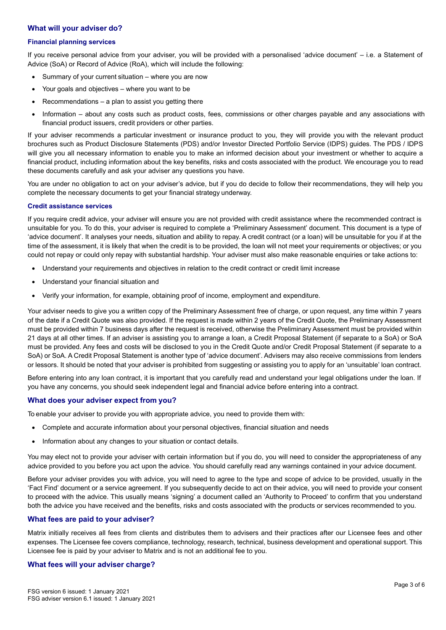# **What will your adviser do?**

#### **Financial planning services**

If you receive personal advice from your adviser, you will be provided with a personalised 'advice document' – i.e. a Statement of Advice (SoA) or Record of Advice (RoA), which will include the following:

- Summary of your current situation where you are now
- Your goals and objectives where you want to be
- $Recommendations a plan to assist you getting there$
- Information about any costs such as product costs, fees, commissions or other charges payable and any associations with financial product issuers, credit providers or other parties.

If your adviser recommends a particular investment or insurance product to you, they will provide you with the relevant product brochures such as Product Disclosure Statements (PDS) and/or Investor Directed Portfolio Service (IDPS) guides. The PDS / IDPS will give you all necessary information to enable you to make an informed decision about your investment or whether to acquire a financial product, including information about the key benefits, risks and costs associated with the product. We encourage you to read these documents carefully and ask your adviser any questions you have.

You are under no obligation to act on your adviser's advice, but if you do decide to follow their recommendations, they will help you complete the necessary documents to get your financial strategy underway.

#### **Credit assistance services**

If you require credit advice, your adviser will ensure you are not provided with credit assistance where the recommended contract is unsuitable for you. To do this, your adviser is required to complete a 'Preliminary Assessment' document. This document is a type of 'advice document'. It analyses your needs, situation and ability to repay. A credit contract (or a loan) will be unsuitable for you if at the time of the assessment, it is likely that when the credit is to be provided, the loan will not meet your requirements or objectives; or you could not repay or could only repay with substantial hardship. Your adviser must also make reasonable enquiries or take actions to:

- Understand your requirements and objectives in relation to the credit contract or credit limit increase
- Understand your financial situation and
- Verify your information, for example, obtaining proof of income, employment and expenditure.

Your adviser needs to give you a written copy of the Preliminary Assessment free of charge, or upon reguest, any time within 7 years of the date if a Credit Quote was also provided. If the request is made within 2 years of the Credit Quote, the Preliminary Assessment must be provided within 7 business days after the request is received, otherwise the Preliminary Assessment must be provided within 21 days at all other times. If an adviser is assisting you to arrange a loan, a Credit Proposal Statement (if separate to a SoA) or SoA must be provided. Any fees and costs will be disclosed to you in the Credit Quote and/or Credit Proposal Statement (if separate to a SoA) or SoA. A Credit Proposal Statement is another type of 'advice document'. Advisers may also receive commissions from lenders or lessors. It should be noted that your adviser is prohibited from suggesting or assisting you to apply for an 'unsuitable' loan contract.

Before entering into any loan contract, it is important that you carefully read and understand your legal obligations under the loan. If you have any concerns, you should seek independent legal and financial advice before entering into a contract.

# **What does your adviser expect from you?**

To enable your adviser to provide you with appropriate advice, you need to provide them with:

- Complete and accurate information about your personal objectives, financial situation and needs
- Information about any changes to your situation or contact details.

You may elect not to provide your adviser with certain information but if you do, you will need to consider the appropriateness of any advice provided to you before you act upon the advice. You should carefully read any warnings contained in your advice document.

Before your adviser provides you with advice, you will need to agree to the type and scope of advice to be provided, usually in the 'Fact Find' document or a service agreement. If you subsequently decide to act on their advice, you will need to provide your consent to proceed with the advice. This usually means 'signing' a document called an 'Authority to Proceed' to confirm that you understand both the advice you have received and the benefits, risks and costs associated with the products or services recommended to you.

# **What fees are paid to your adviser?**

Matrix initially receives all fees from clients and distributes them to advisers and their practices after our Licensee fees and other expenses. The Licensee fee covers compliance, technology, research, technical, business development and operational support. This Licensee fee is paid by your adviser to Matrix and is not an additional fee to you.

# <span id="page-2-0"></span>**What fees will your adviser charge?**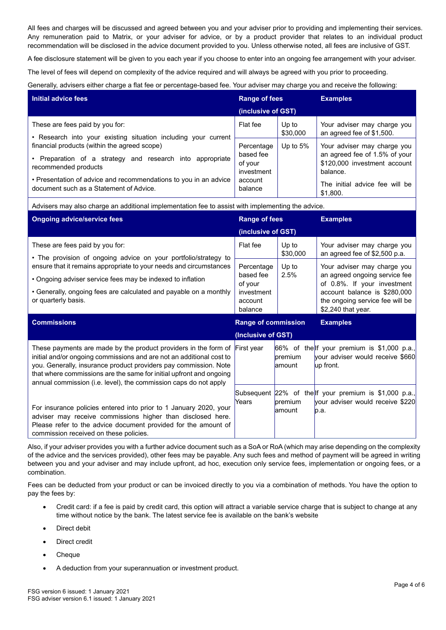All fees and charges will be discussed and agreed between you and your adviser prior to providing and implementing their services. Any remuneration paid to Matrix, or your adviser for advice, or by a product provider that relates to an individual product recommendation will be disclosed in the advice document provided to you. Unless otherwise noted, all fees are inclusive of GST.

A fee disclosure statement will be given to you each year if you choose to enter into an ongoing fee arrangement with your adviser.

The level of fees will depend on complexity of the advice required and will always be agreed with you prior to proceeding.

Generally, advisers either charge a flat fee or percentage-based fee. Your adviser may charge you and receive the following:

| Initial advice fees                                                                                         | <b>Range of fees</b>                                                   |                   | <b>Examples</b>                                                                                          |
|-------------------------------------------------------------------------------------------------------------|------------------------------------------------------------------------|-------------------|----------------------------------------------------------------------------------------------------------|
|                                                                                                             | (inclusive of GST)                                                     |                   |                                                                                                          |
| These are fees paid by you for:<br>• Research into your existing situation including your current           | Flat fee                                                               | Up to<br>\$30,000 | Your adviser may charge you<br>an agreed fee of \$1,500.                                                 |
| financial products (within the agreed scope)                                                                | Percentage<br>based fee<br>of your<br>investment<br>account<br>balance | Up to $5%$        | Your adviser may charge you<br>an agreed fee of 1.5% of your<br>\$120,000 investment account<br>balance. |
| • Preparation of a strategy and research into<br>appropriate<br>recommended products                        |                                                                        |                   |                                                                                                          |
| • Presentation of advice and recommendations to you in an advice<br>document such as a Statement of Advice. |                                                                        |                   | The initial advice fee will be<br>\$1,800.                                                               |

Advisers may also charge an additional implementation fee to assist with implementing the advice.

| <b>Ongoing advice/service fees</b>                                                                                                                                                                                                                                                                                                                                     | <b>Range of fees</b>                                                   |                    | <b>Examples</b>                                                                                                                                                                      |
|------------------------------------------------------------------------------------------------------------------------------------------------------------------------------------------------------------------------------------------------------------------------------------------------------------------------------------------------------------------------|------------------------------------------------------------------------|--------------------|--------------------------------------------------------------------------------------------------------------------------------------------------------------------------------------|
|                                                                                                                                                                                                                                                                                                                                                                        | (inclusive of GST)                                                     |                    |                                                                                                                                                                                      |
| These are fees paid by you for:                                                                                                                                                                                                                                                                                                                                        | Flat fee                                                               | Up to<br>\$30,000  | Your adviser may charge you<br>an agreed fee of \$2,500 p.a.                                                                                                                         |
| • The provision of ongoing advice on your portfolio/strategy to<br>ensure that it remains appropriate to your needs and circumstances<br>• Ongoing adviser service fees may be indexed to inflation<br>• Generally, ongoing fees are calculated and payable on a monthly<br>or quarterly basis.                                                                        | Percentage<br>based fee<br>of your<br>investment<br>account<br>balance | Up to<br>2.5%      | Your adviser may charge you<br>an agreed ongoing service fee<br>of 0.8%. If your investment<br>account balance is \$280,000<br>the ongoing service fee will be<br>\$2,240 that year. |
| <b>Commissions</b>                                                                                                                                                                                                                                                                                                                                                     | <b>Range of commission</b>                                             |                    | <b>Examples</b>                                                                                                                                                                      |
|                                                                                                                                                                                                                                                                                                                                                                        | (Inclusive of GST)                                                     |                    |                                                                                                                                                                                      |
| These payments are made by the product providers in the form of $ First\> year$<br>initial and/or ongoing commissions and are not an additional cost to<br>you. Generally, insurance product providers pay commission. Note<br>that where commissions are the same for initial upfront and ongoing<br>annual commission (i.e. level), the commission caps do not apply |                                                                        | premium<br>lamount | 66% of the If your premium is \$1,000 p.a.,<br>your adviser would receive \$660<br>up front.                                                                                         |
|                                                                                                                                                                                                                                                                                                                                                                        |                                                                        |                    | Subsequent 22% of the If your premium is \$1,000 p.a.,                                                                                                                               |

Also, if your adviser provides you with a further advice document such as a SoA or RoA (which may arise depending on the complexity of the advice and the services provided), other fees may be payable. Any such fees and method of payment will be agreed in writing between you and your adviser and may include upfront, ad hoc, execution only service fees, implementation or ongoing fees, or a combination.

Fees can be deducted from your product or can be invoiced directly to you via a combination of methods. You have the option to pay the fees by:

- Credit card: if a fee is paid by credit card, this option will attract a variable service charge that is subject to change at any time without notice by the bank. The latest service fee is available on the bank's website
- Direct debit
- Direct credit
- Cheque
- A deduction from your superannuation or investment product.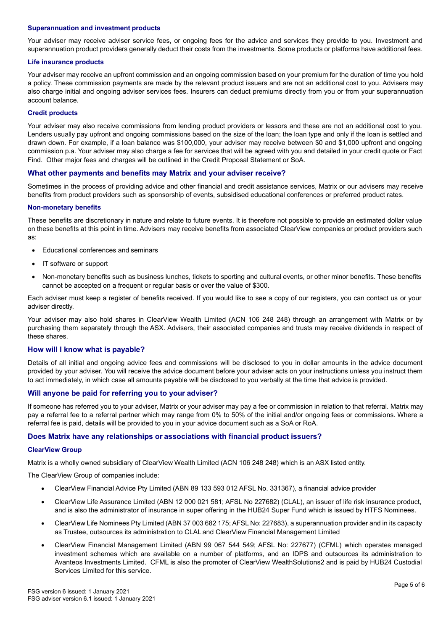#### **Superannuation and investment products**

Your adviser may receive adviser service fees, or ongoing fees for the advice and services they provide to you. Investment and superannuation product providers generally deduct their costs from the investments. Some products or platforms have additional fees.

#### **Life insurance products**

Your adviser may receive an upfront commission and an ongoing commission based on your premium for the duration of time you hold a policy. These commission payments are made by the relevant product issuers and are not an additional cost to you. Advisers may also charge initial and ongoing adviser services fees. Insurers can deduct premiums directly from you or from your superannuation account balance.

### **Credit products**

Your adviser may also receive commissions from lending product providers or lessors and these are not an additional cost to you. Lenders usually pay upfront and ongoing commissions based on the size of the loan; the loan type and only if the loan is settled and drawn down. For example, if a loan balance was \$100,000, your adviser may receive between \$0 and \$1,000 upfront and ongoing commission p.a. Your adviser may also charge a fee for services that will be agreed with you and detailed in your credit quote or Fact Find. Other major fees and charges will be outlined in the Credit Proposal Statement or SoA.

### **What other payments and benefits may Matrix and your adviser receive?**

Sometimes in the process of providing advice and other financial and credit assistance services, Matrix or our advisers may receive benefits from product providers such as sponsorship of events, subsidised educational conferences or preferred product rates.

#### **Non-monetary benefits**

These benefits are discretionary in nature and relate to future events. It is therefore not possible to provide an estimated dollar value on these benefits at this point in time. Advisers may receive benefits from associated ClearView companies or product providers such as:

- Educational conferences and seminars
- IT software or support
- Non-monetary benefits such as business lunches, tickets to sporting and cultural events, or other minor benefits. These benefits cannot be accepted on a frequent or regular basis or over the value of \$300.

Each adviser must keep a register of benefits received. If you would like to see a copy of our registers, you can contact us or your adviser directly.

Your adviser may also hold shares in ClearView Wealth Limited (ACN 106 248 248) through an arrangement with Matrix or by purchasing them separately through the ASX. Advisers, their associated companies and trusts may receive dividends in respect of these shares.

# **How will I know what is payable?**

Details of all initial and ongoing advice fees and commissions will be disclosed to you in dollar amounts in the advice document provided by your adviser. You will receive the advice document before your adviser acts on your instructions unless you instruct them to act immediately, in which case all amounts payable will be disclosed to you verbally at the time that advice is provided.

# **Will anyone be paid for referring you to your adviser?**

If someone has referred you to your adviser, Matrix or your adviser may pay a fee or commission in relation to that referral. Matrix may pay a referral fee to a referral partner which may range from 0% to 50% of the initial and/or ongoing fees or commissions. Where a referral fee is paid, details will be provided to you in your advice document such as a SoA or RoA.

# **Does Matrix have any relationships or associations with financial product issuers?**

#### **ClearView Group**

Matrix is a wholly owned subsidiary of ClearView Wealth Limited (ACN 106 248 248) which is an ASX listed entity.

The ClearView Group of companies include:

- ClearView Financial Advice Pty Limited (ABN 89 133 593 012 AFSL No. 331367), a financial advice provider
- ClearView Life Assurance Limited (ABN 12 000 021 581; AFSL No 227682) (CLAL), an issuer of life risk insurance product, and is also the administrator of insurance in super offering in the HUB24 Super Fund which is issued by HTFS Nominees.
- ClearView Life Nominees Pty Limited (ABN 37 003 682 175; AFSL No: 227683), a superannuation provider and in its capacity as Trustee, outsources its administration to CLAL and ClearView Financial Management Limited
- ClearView Financial Management Limited (ABN 99 067 544 549; AFSL No: 227677) (CFML) which operates managed investment schemes which are available on a number of platforms, and an IDPS and outsources its administration to Avanteos Investments Limited. CFML is also the promoter of ClearView WealthSolutions2 and is paid by HUB24 Custodial Services Limited for this service.